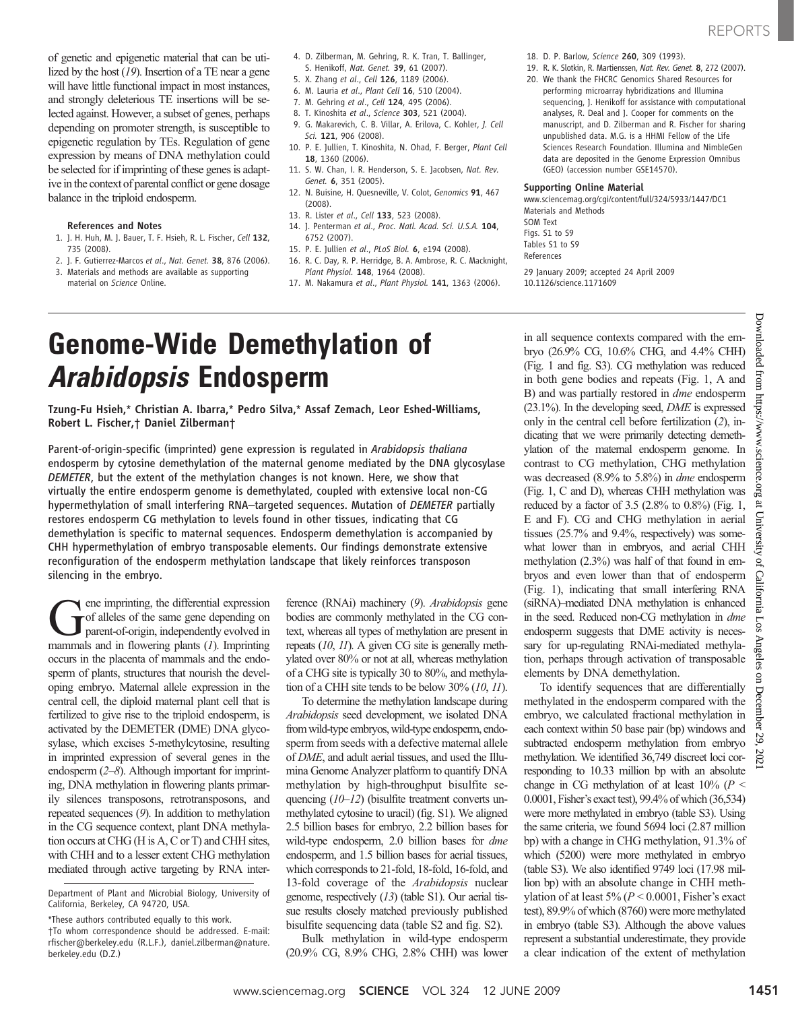of genetic and epigenetic material that can be utilized by the host  $(19)$ . Insertion of a TE near a gene will have little functional impact in most instances, and strongly deleterious TE insertions will be selected against. However, a subset of genes, perhaps depending on promoter strength, is susceptible to epigenetic regulation by TEs. Regulation of gene expression by means of DNA methylation could be selected for if imprinting of these genes is adaptive in the context of parental conflict or gene dosage balance in the triploid endosperm.

#### References and Notes

- 1. J. H. Huh, M. J. Bauer, T. F. Hsieh, R. L. Fischer, Cell 132, 735 (2008).
- 2. J. F. Gutierrez-Marcos et al., Nat. Genet. 38, 876 (2006). 3. Materials and methods are available as supporting material on Science Online.
- 4. D. Zilberman, M. Gehring, R. K. Tran, T. Ballinger, S. Henikoff, Nat. Genet. 39, 61 (2007).
- 5. X. Zhang et al., Cell 126, 1189 (2006).
- 6. M. Lauria et al., Plant Cell 16, 510 (2004).
- 7. M. Gehring et al., Cell 124, 495 (2006).
- 8. T. Kinoshita et al., Science 303, 521 (2004).
- 9. G. Makarevich, C. B. Villar, A. Erilova, C. Kohler, J. Cell Sci. 121, 906 (2008).
- 10. P. E. Jullien, T. Kinoshita, N. Ohad, F. Berger, Plant Cell 18, 1360 (2006).
- 11. S. W. Chan, I. R. Henderson, S. E. Jacobsen, Nat. Rev. Genet. 6, 351 (2005).
- 12. N. Buisine, H. Quesneville, V. Colot, Genomics 91, 467 (2008).
- 13. R. Lister et al., Cell 133, 523 (2008).
- 14. I. Penterman et al., Proc. Natl. Acad. Sci. U.S.A. 104. 6752 (2007).
- 15. P. E. Jullien et al., PLoS Biol. 6, e194 (2008). 16. R. C. Day, R. P. Herridge, B. A. Ambrose, R. C. Macknight, Plant Physiol. 148, 1964 (2008).
- 17. M. Nakamura et al., Plant Physiol. 141, 1363 (2006).
- 
- 18. D. P. Barlow, Science 260, 309 (1993).
- 19. R. K. Slotkin, R. Martienssen, Nat. Rev. Genet. 8, 272 (2007).
- 20. We thank the FHCRC Genomics Shared Resources for performing microarray hybridizations and Illumina sequencing, J. Henikoff for assistance with computational analyses, R. Deal and J. Cooper for comments on the manuscript, and D. Zilberman and R. Fischer for sharing unpublished data. M.G. is a HHMI Fellow of the Life Sciences Research Foundation. Illumina and NimbleGen data are deposited in the Genome Expression Omnibus (GEO) (accession number GSE14570).

#### Supporting Online Material

www.sciencemag.org/cgi/content/full/324/5933/1447/DC1 Materials and Methods SOM Text Figs. S1 to S9 Tables S1 to S9 References 29 January 2009; accepted 24 April 2009 10.1126/science.1171609

# Genome-Wide Demethylation of Arabidopsis Endosperm

Tzung-Fu Hsieh,\* Christian A. Ibarra,\* Pedro Silva,\* Assaf Zemach, Leor Eshed-Williams, Robert L. Fischer,† Daniel Zilberman†

Parent-of-origin-specific (imprinted) gene expression is regulated in Arabidopsis thaliana endosperm by cytosine demethylation of the maternal genome mediated by the DNA glycosylase DEMETER, but the extent of the methylation changes is not known. Here, we show that virtually the entire endosperm genome is demethylated, coupled with extensive local non-CG hypermethylation of small interfering RNA–targeted sequences. Mutation of DEMETER partially restores endosperm CG methylation to levels found in other tissues, indicating that CG demethylation is specific to maternal sequences. Endosperm demethylation is accompanied by CHH hypermethylation of embryo transposable elements. Our findings demonstrate extensive reconfiguration of the endosperm methylation landscape that likely reinforces transposon silencing in the embryo.

ference (RNAi) machinery (9). Arabidopsis gene bodies are commonly methylated in the CG context, whereas all types of methylation are present in repeats (10, 11). A given CG site is generally methylated over 80% or not at all, whereas methylation of a CHG site is typically 30 to 80%, and methylation of a CHH site tends to be below 30% (10, 11).

To determine the methylation landscape during Arabidopsis seed development, we isolated DNA from wild-type embryos, wild-type endosperm, endosperm from seeds with a defective maternal allele of DME, and adult aerial tissues, and used the Illumina Genome Analyzer platform to quantify DNA methylation by high-throughput bisulfite sequencing (10–12) (bisulfite treatment converts unmethylated cytosine to uracil) (fig. S1). We aligned 2.5 billion bases for embryo, 2.2 billion bases for wild-type endosperm, 2.0 billion bases for *dme* endosperm, and 1.5 billion bases for aerial tissues, which corresponds to 21-fold, 18-fold, 16-fold, and 13-fold coverage of the *Arabidopsis* nuclear genome, respectively (13) (table S1). Our aerial tissue results closely matched previously published bisulfite sequencing data (table S2 and fig. S2).

Bulk methylation in wild-type endosperm (20.9% CG, 8.9% CHG, 2.8% CHH) was lower in all sequence contexts compared with the embryo (26.9% CG, 10.6% CHG, and 4.4% CHH) (Fig. 1 and fig. S3). CG methylation was reduced in both gene bodies and repeats (Fig. 1, A and B) and was partially restored in *dme* endosperm  $(23.1\%)$ . In the developing seed, *DME* is expressed only in the central cell before fertilization (2), indicating that we were primarily detecting demethylation of the maternal endosperm genome. In contrast to CG methylation, CHG methylation was decreased (8.9% to 5.8%) in *dme* endosperm (Fig. 1, C and D), whereas CHH methylation was reduced by a factor of 3.5 (2.8% to 0.8%) (Fig. 1, E and F). CG and CHG methylation in aerial tissues (25.7% and 9.4%, respectively) was somewhat lower than in embryos, and aerial CHH methylation (2.3%) was half of that found in embryos and even lower than that of endosperm (Fig. 1), indicating that small interfering RNA (siRNA)–mediated DNA methylation is enhanced in the seed. Reduced non-CG methylation in dme endosperm suggests that DME activity is necessary for up-regulating RNAi-mediated methylation, perhaps through activation of transposable elements by DNA demethylation.

To identify sequences that are differentially methylated in the endosperm compared with the embryo, we calculated fractional methylation in each context within 50 base pair (bp) windows and subtracted endosperm methylation from embryo methylation. We identified 36,749 discreet loci corresponding to 10.33 million bp with an absolute change in CG methylation of at least  $10\%$  ( $P <$ 0.0001, Fisher's exact test), 99.4% of which (36,534) were more methylated in embryo (table S3). Using the same criteria, we found 5694 loci (2.87 million bp) with a change in CHG methylation, 91.3% of which (5200) were more methylated in embryo (table S3). We also identified 9749 loci (17.98 million bp) with an absolute change in CHH methylation of at least  $5\%$  ( $P < 0.0001$ , Fisher's exact test), 89.9% of which (8760) were more methylated in embryo (table S3). Although the above values represent a substantial underestimate, they provide a clear indication of the extent of methylation

Downloaded from https://www.science.org at University of California Los Angeles on December 29, 2021

 $\Omega$ 

California Los

Angeles  $\mathbf{g}$ 

December

29,

at University

Downloaded

mont

https://www.science.org

ene imprinting, the differential expression of alleles of the same gene depending on parent-of-origin, independently evolved in mammals and in flowering plants  $(1)$ . Imprinting occurs in the placenta of mammals and the endosperm of plants, structures that nourish the developing embryo. Maternal allele expression in the central cell, the diploid maternal plant cell that is fertilized to give rise to the triploid endosperm, is activated by the DEMETER (DME) DNA glycosylase, which excises 5-methylcytosine, resulting in imprinted expression of several genes in the endosperm (2–8). Although important for imprinting, DNA methylation in flowering plants primarily silences transposons, retrotransposons, and repeated sequences (9). In addition to methylation in the CG sequence context, plant DNA methylation occurs at CHG (H is A, C or T) and CHH sites, with CHH and to a lesser extent CHG methylation mediated through active targeting by RNA inter-

Department of Plant and Microbial Biology, University of California, Berkeley, CA 94720, USA.

<sup>\*</sup>These authors contributed equally to this work. †To whom correspondence should be addressed. E-mail: rfischer@berkeley.edu (R.L.F.), daniel.zilberman@nature. berkeley.edu (D.Z.)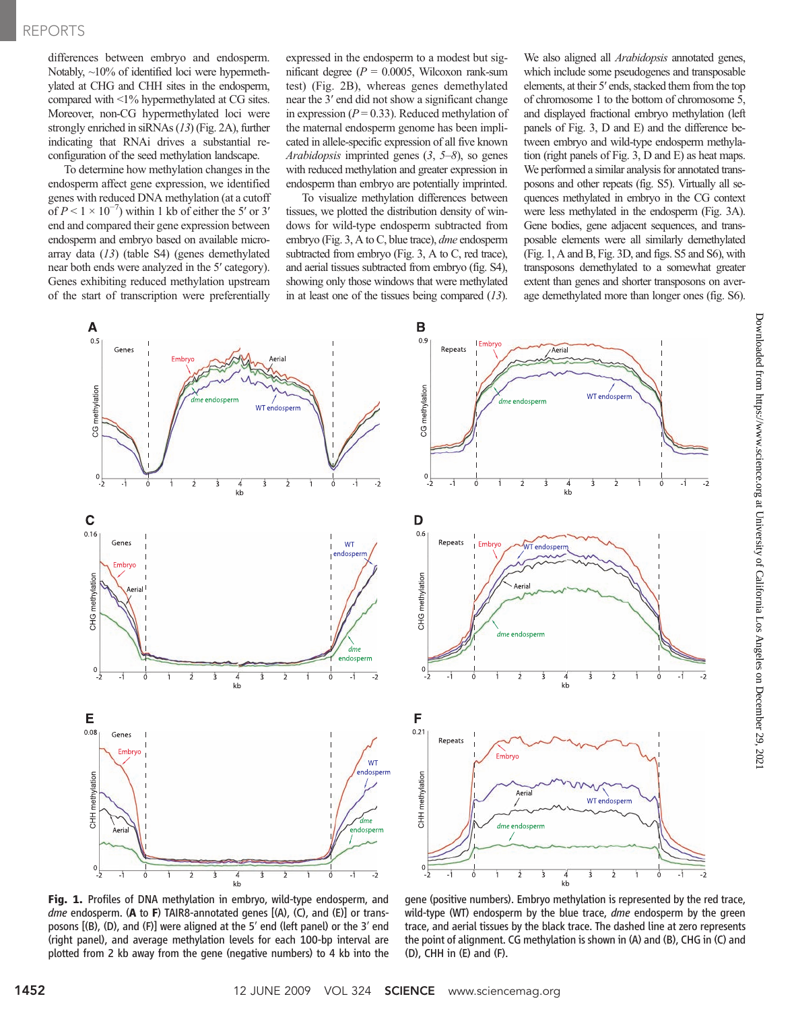### REPORTS

differences between embryo and endosperm. Notably,  $\sim$ 10% of identified loci were hypermethylated at CHG and CHH sites in the endosperm, compared with <1% hypermethylated at CG sites. Moreover, non-CG hypermethylated loci were strongly enriched in siRNAs (13) (Fig. 2A), further indicating that RNAi drives a substantial reconfiguration of the seed methylation landscape.

To determine how methylation changes in the endosperm affect gene expression, we identified genes with reduced DNA methylation (at a cutoff of  $P < 1 \times 10^{-7}$ ) within 1 kb of either the 5' or 3' end and compared their gene expression between endosperm and embryo based on available microarray data (13) (table S4) (genes demethylated near both ends were analyzed in the 5′ category). Genes exhibiting reduced methylation upstream of the start of transcription were preferentially

expressed in the endosperm to a modest but significant degree ( $P = 0.0005$ , Wilcoxon rank-sum test) (Fig. 2B), whereas genes demethylated near the 3′ end did not show a significant change in expression ( $P = 0.33$ ). Reduced methylation of the maternal endosperm genome has been implicated in allele-specific expression of all five known Arabidopsis imprinted genes  $(3, 5-8)$ , so genes with reduced methylation and greater expression in endosperm than embryo are potentially imprinted.

To visualize methylation differences between tissues, we plotted the distribution density of windows for wild-type endosperm subtracted from embryo (Fig. 3, A to C, blue trace), dme endosperm subtracted from embryo (Fig. 3, A to C, red trace), and aerial tissues subtracted from embryo (fig. S4), showing only those windows that were methylated in at least one of the tissues being compared  $(13)$ .

We also aligned all **Arabidopsis** annotated genes, which include some pseudogenes and transposable elements, at their 5′ ends, stacked them from the top of chromosome 1 to the bottom of chromosome 5, and displayed fractional embryo methylation (left panels of Fig. 3, D and E) and the difference between embryo and wild-type endosperm methylation (right panels of Fig. 3, D and E) as heat maps. We performed a similar analysis for annotated transposons and other repeats (fig. S5). Virtually all sequences methylated in embryo in the CG context were less methylated in the endosperm (Fig. 3A). Gene bodies, gene adjacent sequences, and transposable elements were all similarly demethylated (Fig. 1, A and B, Fig. 3D, and figs. S5 and S6), with transposons demethylated to a somewhat greater extent than genes and shorter transposons on average demethylated more than longer ones (fig. S6).



Fig. 1. Profiles of DNA methylation in embryo, wild-type endosperm, and *dme* endosperm. (A to F) TAIR8-annotated genes  $[(A), (C),$  and  $(E)]$  or transposons [(B), (D), and (F)] were aligned at the 5′ end (left panel) or the 3′ end (right panel), and average methylation levels for each 100-bp interval are plotted from 2 kb away from the gene (negative numbers) to 4 kb into the

gene (positive numbers). Embryo methylation is represented by the red trace, wild-type (WT) endosperm by the blue trace, *dme* endosperm by the green trace, and aerial tissues by the black trace. The dashed line at zero represents the point of alignment. CG methylation is shown in (A) and (B), CHG in (C) and (D), CHH in (E) and (F).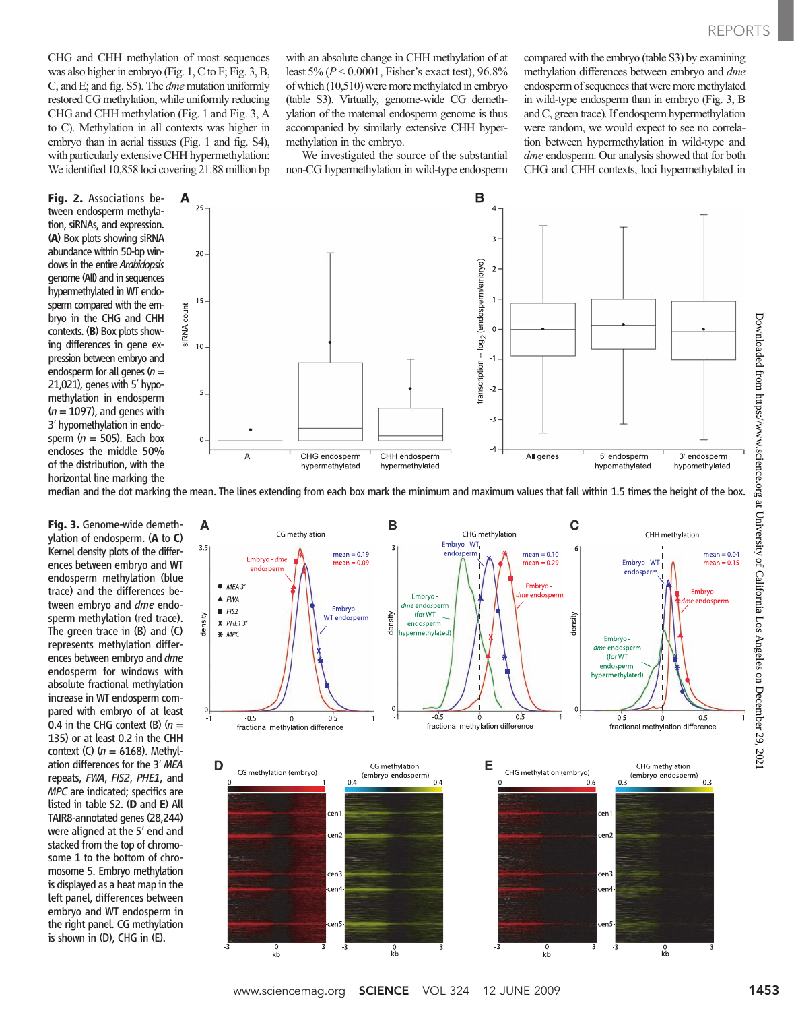CHG and CHH methylation of most sequences was also higher in embryo (Fig. 1, C to F; Fig. 3, B, C, and E; and fig. S5). The dme mutation uniformly restored CG methylation, while uniformly reducing CHG and CHH methylation (Fig. 1 and Fig. 3, A to C). Methylation in all contexts was higher in embryo than in aerial tissues (Fig. 1 and fig. S4), with particularly extensive CHH hypermethylation: We identified 10,858 loci covering 21.88 million bp

Fig. 2. Associations between endosperm methylation, siRNAs, and expression. (A) Box plots showing siRNA abundance within 50-bp windows in the entire Arabidopsis genome (All) and in sequences hypermethylated in WT endosperm compared with the embryo in the CHG and CHH contexts. (B) Box plots showing differences in gene expression between embryo and endosperm for all genes  $(n =$ 21,021), genes with 5′ hypomethylation in endosperm  $(n = 1097)$ , and genes with 3′ hypomethylation in endosperm ( $n = 505$ ). Each box encloses the middle 50% of the distribution, with the horizontal line marking the with an absolute change in CHH methylation of at least  $5\% (P \le 0.0001$ , Fisher's exact test), 96.8% of which (10,510) were more methylated in embryo (table S3). Virtually, genome-wide CG demethylation of the maternal endosperm genome is thus accompanied by similarly extensive CHH hypermethylation in the embryo.

We investigated the source of the substantial non-CG hypermethylation in wild-type endosperm compared with the embryo (table S3) by examining methylation differences between embryo and dme endosperm of sequences that were more methylated in wild-type endosperm than in embryo (Fig. 3, B and C, green trace). If endosperm hypermethylation were random, we would expect to see no correlation between hypermethylation in wild-type and dme endosperm. Our analysis showed that for both CHG and CHH contexts, loci hypermethylated in



median and the dot marking the mean. The lines extending from each box mark the minimum and maximum values that fall within 1.5 times the height of the box.

Fig. 3. Genome-wide demethylation of endosperm. (A to C) Kernel density plots of the differences between embryo and WT endosperm methylation (blue trace) and the differences between embryo and dme endosperm methylation (red trace). The green trace in (B) and (C) represents methylation differences between embryo and dme endosperm for windows with absolute fractional methylation increase in WT endosperm compared with embryo of at least 0.4 in the CHG context (B)  $(n =$ 135) or at least 0.2 in the CHH context (C)  $(n = 6168)$ . Methylation differences for the 3′ MEA repeats, FWA, FIS2, PHE1, and MPC are indicated; specifics are listed in table S2. (D and E) All TAIR8-annotated genes (28,244) were aligned at the 5′ end and stacked from the top of chromosome 1 to the bottom of chromosome 5. Embryo methylation is displayed as a heat map in the left panel, differences between embryo and WT endosperm in the right panel. CG methylation is shown in (D), CHG in (E).

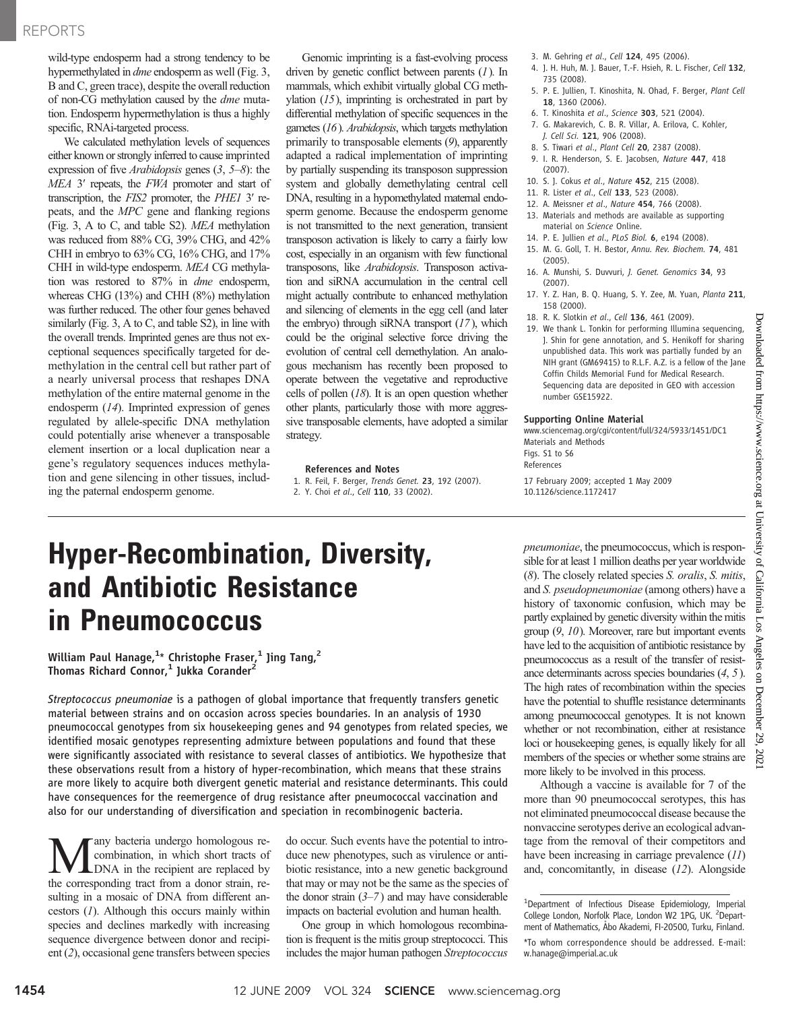## REPORTS

wild-type endosperm had a strong tendency to be hypermethylated in dme endosperm as well (Fig. 3, B and C, green trace), despite the overall reduction of non-CG methylation caused by the dme mutation. Endosperm hypermethylation is thus a highly specific, RNAi-targeted process.

We calculated methylation levels of sequences either known or strongly inferred to cause imprinted expression of five Arabidopsis genes (3, 5–8): the MEA 3' repeats, the FWA promoter and start of transcription, the FIS2 promoter, the PHE1 3′ repeats, and the MPC gene and flanking regions (Fig. 3, A to C, and table S2). MEA methylation was reduced from 88% CG, 39% CHG, and 42% CHH in embryo to 63% CG, 16% CHG, and 17% CHH in wild-type endosperm. MEA CG methylation was restored to 87% in dme endosperm, whereas CHG (13%) and CHH (8%) methylation was further reduced. The other four genes behaved similarly (Fig. 3, A to C, and table S2), in line with the overall trends. Imprinted genes are thus not exceptional sequences specifically targeted for demethylation in the central cell but rather part of a nearly universal process that reshapes DNA methylation of the entire maternal genome in the endosperm (14). Imprinted expression of genes regulated by allele-specific DNA methylation could potentially arise whenever a transposable element insertion or a local duplication near a gene's regulatory sequences induces methylation and gene silencing in other tissues, including the paternal endosperm genome.

Genomic imprinting is a fast-evolving process driven by genetic conflict between parents  $(1)$ . In mammals, which exhibit virtually global CG methylation  $(15)$ , imprinting is orchestrated in part by differential methylation of specific sequences in the gametes (16). Arabidopsis, which targets methylation primarily to transposable elements (9), apparently adapted a radical implementation of imprinting by partially suspending its transposon suppression system and globally demethylating central cell DNA, resulting in a hypomethylated maternal endosperm genome. Because the endosperm genome is not transmitted to the next generation, transient transposon activation is likely to carry a fairly low cost, especially in an organism with few functional transposons, like Arabidopsis. Transposon activation and siRNA accumulation in the central cell might actually contribute to enhanced methylation and silencing of elements in the egg cell (and later the embryo) through siRNA transport  $(17)$ , which could be the original selective force driving the evolution of central cell demethylation. An analogous mechanism has recently been proposed to operate between the vegetative and reproductive cells of pollen  $(18)$ . It is an open question whether other plants, particularly those with more aggressive transposable elements, have adopted a similar strategy.

#### References and Notes

- 1. R. Feil, F. Berger, Trends Genet. 23, 192 (2007). 2. Y. Choi et al., Cell 110, 33 (2002).
- Hyper-Recombination, Diversity, and Antibiotic Resistance in Pneumococcus

William Paul Hanage, $^{1_\star}$  Christophe Fraser, $^1$  Jing Tang, $^2$ Thomas Richard Connor, $<sup>1</sup>$  Jukka Corander<sup>2</sup></sup>

Streptococcus pneumoniae is a pathogen of global importance that frequently transfers genetic material between strains and on occasion across species boundaries. In an analysis of 1930 pneumococcal genotypes from six housekeeping genes and 94 genotypes from related species, we identified mosaic genotypes representing admixture between populations and found that these were significantly associated with resistance to several classes of antibiotics. We hypothesize that these observations result from a history of hyper-recombination, which means that these strains are more likely to acquire both divergent genetic material and resistance determinants. This could have consequences for the reemergence of drug resistance after pneumococcal vaccination and also for our understanding of diversification and speciation in recombinogenic bacteria.

any bacteria undergo homologous recombination, in which short tracts of DNA in the recipient are replaced by the corresponding tract from a donor strain, resulting in a mosaic of DNA from different ancestors (1). Although this occurs mainly within species and declines markedly with increasing sequence divergence between donor and recipient (2), occasional gene transfers between species

do occur. Such events have the potential to introduce new phenotypes, such as virulence or antibiotic resistance, into a new genetic background that may or may not be the same as the species of the donor strain  $(3-7)$  and may have considerable impacts on bacterial evolution and human health.

One group in which homologous recombination is frequent is the mitis group streptococci. This includes the major human pathogen Streptococcus

- 4. J. H. Huh, M. J. Bauer, T.-F. Hsieh, R. L. Fischer, Cell 132, 735 (2008).
- 5. P. E. Jullien, T. Kinoshita, N. Ohad, F. Berger, Plant Cell 18, 1360 (2006).
- 6. T. Kinoshita et al., Science 303, 521 (2004).
- 7. G. Makarevich, C. B. R. Villar, A. Erilova, C. Kohler, J. Cell Sci. 121, 906 (2008).
	- 8. S. Tiwari et al., Plant Cell 20, 2387 (2008).
	- 9. I. R. Henderson, S. E. Jacobsen, Nature 447, 418 (2007).
	- 10. S. J. Cokus et al., Nature 452, 215 (2008).
	- 11. R. Lister et al., Cell 133, 523 (2008).
	- 12. A. Meissner et al., Nature 454, 766 (2008).
	- 13. Materials and methods are available as supporting material on Science Online.
	- 14. P. E. Jullien et al., PLoS Biol. 6, e194 (2008).
- 15. M. G. Goll, T. H. Bestor, Annu. Rev. Biochem. 74, 481 (2005).
- 16. A. Munshi, S. Duvvuri, J. Genet. Genomics 34, 93 (2007).
- 17. Y. Z. Han, B. Q. Huang, S. Y. Zee, M. Yuan, Planta 211, 158 (2000).
- 18. R. K. Slotkin et al., Cell 136, 461 (2009).
- 19. We thank L. Tonkin for performing Illumina sequencing, J. Shin for gene annotation, and S. Henikoff for sharing unpublished data. This work was partially funded by an NIH grant (GM69415) to R.L.F. A.Z. is a fellow of the Jane Coffin Childs Memorial Fund for Medical Research. Sequencing data are deposited in GEO with accession number GSE15922.

#### Supporting Online Material

www.sciencemag.org/cgi/content/full/324/5933/1451/DC1 Materials and Methods Figs. S1 to S6 References

17 February 2009; accepted 1 May 2009 10.1126/science.1172417

pneumoniae, the pneumococcus, which is responsible for at least 1 million deaths per year worldwide (8). The closely related species S. oralis, S. mitis, and S. pseudopneumoniae (among others) have a history of taxonomic confusion, which may be partly explained by genetic diversity within the mitis group (9, 10). Moreover, rare but important events have led to the acquisition of antibiotic resistance by pneumococcus as a result of the transfer of resistance determinants across species boundaries (4, 5). The high rates of recombination within the species have the potential to shuffle resistance determinants among pneumococcal genotypes. It is not known whether or not recombination, either at resistance loci or housekeeping genes, is equally likely for all members of the species or whether some strains are more likely to be involved in this process.

Although a vaccine is available for 7 of the more than 90 pneumococcal serotypes, this has not eliminated pneumococcal disease because the nonvaccine serotypes derive an ecological advantage from the removal of their competitors and have been increasing in carriage prevalence (11) and, concomitantly, in disease (12). Alongside

<sup>3.</sup> M. Gehring et al., Cell 124, 495 (2006).

<sup>&</sup>lt;sup>1</sup>Department of Infectious Disease Epidemiology, Imperial College London, Norfolk Place, London W2 1PG, UK. <sup>2</sup>Department of Mathematics, Åbo Akademi, FI-20500, Turku, Finland. \*To whom correspondence should be addressed. E-mail: w.hanage@imperial.ac.uk